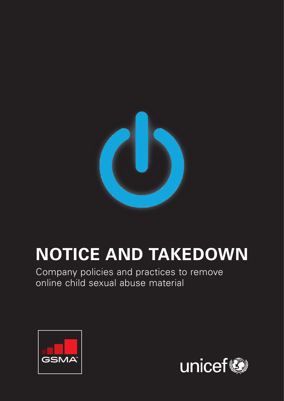

# **NOTICE AND TAKEDOWN**

Company policies and practices to remove online child sexual abuse material



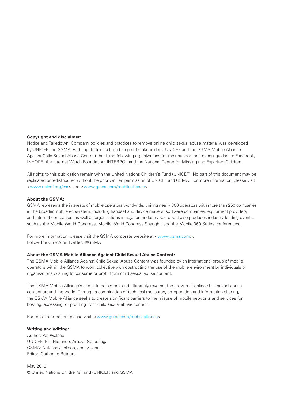#### **Copyright and disclaimer:**

Notice and Takedown: Company policies and practices to remove online child sexual abuse material was developed by UNICEF and GSMA, with inputs from a broad range of stakeholders. UNICEF and the GSMA Mobile Alliance Against Child Sexual Abuse Content thank the following organizations for their support and expert guidance: Facebook, INHOPE, the Internet Watch Foundation, INTERPOL and the National Center for Missing and Exploited Children.

All rights to this publication remain with the United Nations Children's Fund (UNICEF). No part of this document may be replicated or redistributed without the prior written permission of UNICEF and GSMA. For more information, please visit <www.unicef.org/csr> and <www.gsma.com/mobilealliance>.

#### **About the GSMA:**

GSMA represents the interests of mobile operators worldwide, uniting nearly 800 operators with more than 250 companies in the broader mobile ecosystem, including handset and device makers, software companies, equipment providers and Internet companies, as well as organizations in adjacent industry sectors. It also produces industry-leading events, such as the Mobile World Congress, Mobile World Congress Shanghai and the Mobile 360 Series conferences.

For more information, please visit the GSMA corporate website at <www.gsma.com>. Follow the GSMA on Twitter: @GSMA

#### **About the GSMA Mobile Alliance Against Child Sexual Abuse Content:**

The GSMA Mobile Alliance Against Child Sexual Abuse Content was founded by an international group of mobile operators within the GSMA to work collectively on obstructing the use of the mobile environment by individuals or organisations wishing to consume or profit from child sexual abuse content.

The GSMA Mobile Alliance's aim is to help stem, and ultimately reverse, the growth of online child sexual abuse content around the world. Through a combination of technical measures, co-operation and information sharing, the GSMA Mobile Alliance seeks to create significant barriers to the misuse of mobile networks and services for hosting, accessing, or profiting from child sexual abuse content.

For more information, please visit: <www.gsma.com/mobilealliance>

#### **Writing and editing:**

Author: Pat Walshe UNICEF: Eija Hietavuo, Amaya Gorostiaga GSMA: Natasha Jackson, Jenny Jones Editor: Catherine Rutgers

May 2016 @ United Nations Children's Fund (UNICEF) and GSMA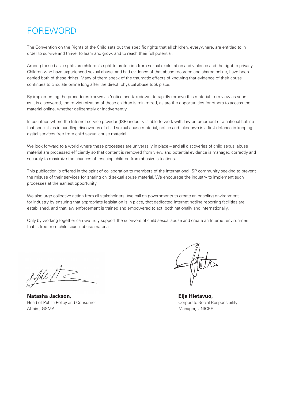### FOREWORD

The Convention on the Rights of the Child sets out the specific rights that all children, everywhere, are entitled to in order to survive and thrive, to learn and grow, and to reach their full potential.

Among these basic rights are children's right to protection from sexual exploitation and violence and the right to privacy. Children who have experienced sexual abuse, and had evidence of that abuse recorded and shared online, have been denied both of these rights. Many of them speak of the traumatic effects of knowing that evidence of their abuse continues to circulate online long after the direct, physical abuse took place.

By implementing the procedures known as 'notice and takedown' to rapidly remove this material from view as soon as it is discovered, the re-victimization of those children is minimized, as are the opportunities for others to access the material online, whether deliberately or inadvertently.

In countries where the Internet service provider (ISP) industry is able to work with law enforcement or a national hotline that specializes in handling discoveries of child sexual abuse material, notice and takedown is a first defence in keeping digital services free from child sexual abuse material.

We look forward to a world where these processes are universally in place – and all discoveries of child sexual abuse material are processed efficiently so that content is removed from view, and potential evidence is managed correctly and securely to maximize the chances of rescuing children from abusive situations.

This publication is offered in the spirit of collaboration to members of the international ISP community seeking to prevent the misuse of their services for sharing child sexual abuse material. We encourage the industry to implement such processes at the earliest opportunity.

We also urge collective action from all stakeholders. We call on governments to create an enabling environment for industry by ensuring that appropriate legislation is in place, that dedicated Internet hotline reporting facilities are established, and that law enforcement is trained and empowered to act, both nationally and internationally.

Only by working together can we truly support the survivors of child sexual abuse and create an Internet environment that is free from child sexual abuse material.

Nde 17

**Natasha Jackson,**  Head of Public Policy and Consumer Affairs, GSMA

**Eija Hietavuo,**  Corporate Social Responsibility Manager, UNICEF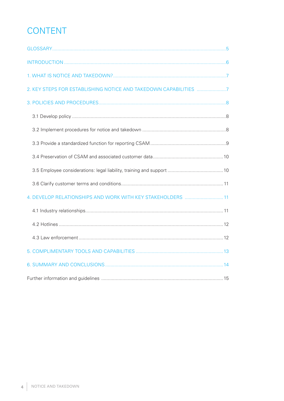# CONTENT

| 2. KEY STEPS FOR ESTABLISHING NOTICE AND TAKEDOWN CAPABILITIES 7 |  |
|------------------------------------------------------------------|--|
|                                                                  |  |
|                                                                  |  |
|                                                                  |  |
|                                                                  |  |
|                                                                  |  |
|                                                                  |  |
|                                                                  |  |
| 4. DEVELOP RELATIONSHIPS AND WORK WITH KEY STAKEHOLDERS  11      |  |
|                                                                  |  |
|                                                                  |  |
|                                                                  |  |
|                                                                  |  |
|                                                                  |  |
|                                                                  |  |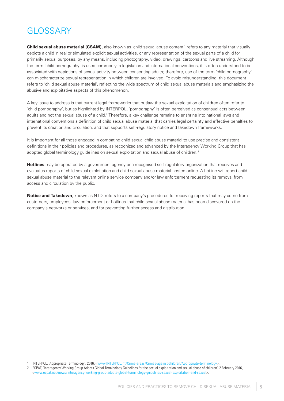## **GLOSSARY**

**Child sexual abuse material (CSAM)**, also known as 'child sexual abuse content', refers to any material that visually depicts a child in real or simulated explicit sexual activities, or any representation of the sexual parts of a child for primarily sexual purposes, by any means, including photography, video, drawings, cartoons and live streaming. Although the term 'child pornography' is used commonly in legislation and international conventions, it is often understood to be associated with depictions of sexual activity between consenting adults; therefore, use of the term 'child pornography' can mischaracterize sexual representation in which children are involved. To avoid misunderstanding, this document refers to 'child sexual abuse material', reflecting the wide spectrum of child sexual abuse materials and emphasizing the abusive and exploitative aspects of this phenomenon.

A key issue to address is that current legal frameworks that outlaw the sexual exploitation of children often refer to 'child pornography', but as highlighted by INTERPOL, 'pornography' is often perceived as consensual acts between adults and not the sexual abuse of a child.<sup>1</sup> Therefore, a key challenge remains to enshrine into national laws and international conventions a definition of child sexual abuse material that carries legal certainty and effective penalties to prevent its creation and circulation, and that supports self-regulatory notice and takedown frameworks.

It is important for all those engaged in combating child sexual child abuse material to use precise and consistent definitions in their policies and procedures, as recognized and advanced by the Interagency Working Group that has adopted global terminology guidelines on sexual exploitation and sexual abuse of children.<sup>2</sup>

**Hotlines** may be operated by a government agency or a recognised self-regulatory organization that receives and evaluates reports of child sexual exploitation and child sexual abuse material hosted online. A hotline will report child sexual abuse material to the relevant online service company and/or law enforcement requesting its removal from access and circulation by the public.

**Notice and Takedown**, known as NTD, refers to a company's procedures for receiving reports that may come from customers, employees, law enforcement or hotlines that child sexual abuse material has been discovered on the company's networks or services, and for preventing further access and distribution.

<sup>1</sup> INTERPOL, 'Appropriate Terminology', 2016, <www.INTERPOL.int/Crime-areas/Crimes-against-children/Appropriate-terminology>.

<sup>2</sup> ECPAT, 'Interagency Working Group Adopts Global Terminology Guidelines for the sexual exploitation and sexual abuse of children', 2 February 2016, <www.ecpat.net/news/interagency-working-group-adopts-global-terminology-guidelines-sexual-exploitation-and-sexual>.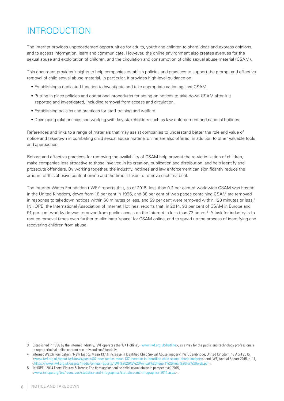### INTRODUCTION

The Internet provides unprecedented opportunities for adults, youth and children to share ideas and express opinions, and to access information, learn and communicate. However, the online environment also creates avenues for the sexual abuse and exploitation of children, and the circulation and consumption of child sexual abuse material (CSAM).

This document provides insights to help companies establish policies and practices to support the prompt and effective removal of child sexual abuse material. In particular, it provides high-level guidance on:

- Establishing a dedicated function to investigate and take appropriate action against CSAM.
- Putting in place policies and operational procedures for acting on notices to take down CSAM after it is reported and investigated, including removal from access and circulation.
- Establishing policies and practices for staff training and welfare.
- Developing relationships and working with key stakeholders such as law enforcement and national hotlines.

References and links to a range of materials that may assist companies to understand better the role and value of notice and takedown in combating child sexual abuse material online are also offered, in addition to other valuable tools and approaches.

Robust and effective practices for removing the availability of CSAM help prevent the re-victimization of children, make companies less attractive to those involved in its creation, publication and distribution, and help identify and prosecute offenders. By working together, the industry, hotlines and law enforcement can significantly reduce the amount of this abusive content online and the time it takes to remove such material.

The Internet Watch Foundation (IWF)<sup>3</sup> reports that, as of 2015, less than 0.2 per cent of worldwide CSAM was hosted in the United Kingdom, down from 18 per cent in 1996, and 38 per cent of web pages containing CSAM are removed in response to takedown notices within 60 minutes or less, and 59 per cent were removed within 120 minutes or less.<sup>4</sup> INHOPE, the International Association of Internet Hotlines, reports that, in 2014, 93 per cent of CSAM in Europe and 91 per cent worldwide was removed from public access on the Internet in less than 72 hours.<sup>5</sup> A task for industry is to reduce removal times even further to eliminate 'space' for CSAM online, and to speed up the process of identifying and recovering children from abuse.

<sup>3</sup> Established in 1996 by the Internet industry, IWF operates the 'UK Hotline', <www.iwf.org.uk/hotline>, as a way for the public and technology professionals to report criminal online content securely and confidentially.

<sup>4</sup> Internet Watch Foundation, 'New Tactics Mean 137% Increase in Identified Child Sexual Abuse Imagery'. IWF, Cambridge, United Kingdom, 13 April 2015, <www.iwf.org.uk/about-iwf/news/post/407-new-tactics-mean-137-increase-in-identified-child-sexual-abuse-imagery>; and IWF, Annual Report 2015, p. 11, <https://www.iwf.org.uk/assets/media/annual-reports/IWF%202015%20Annual%20Report%20Final%20for%20web.pdf>.

<sup>5</sup> INHOPE, '2014 Facts, Figures & Trends: The fight against online child sexual abuse in perspective', 2015, <www.inhope.org/tns/resources/statistics-and-infographics/statistics-and-infographics-2014.aspx> .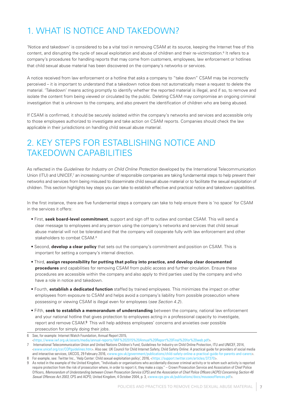### 1. WHAT IS NOTICE AND TAKEDOWN?

'Notice and takedown' is considered to be a vital tool in removing CSAM at its source, keeping the Internet free of this content, and disrupting the cycle of sexual exploitation and abuse of children and their re-victimization.<sup>6</sup> It refers to a company's procedures for handling reports that may come from customers, employees, law enforcement or hotlines that child sexual abuse material has been discovered on the company's networks or services.

A notice received from law enforcement or a hotline that asks a company to "take down" CSAM may be incorrectly perceived – it is important to understand that a takedown notice does not automatically mean a request to delete the material. 'Takedown' means acting promptly to identify whether the reported material is illegal, and if so, to remove and isolate the content from being viewed or circulated by the public. Deleting CSAM may compromise an ongoing criminal investigation that is unknown to the company, and also prevent the identification of children who are being abused.

If CSAM is confirmed, it should be securely isolated within the company's networks and services and accessible only to those employees authorized to investigate and take action on CSAM reports. Companies should check the law applicable in their jurisdictions on handling child sexual abuse material.

### 2. KEY STEPS FOR ESTABLISHING NOTICE AND TAKEDOWN CAPABILITIES

As reflected in the *Guidelines for Industry on Child Online Protection* developed by the International Telecommunication Union (ITU) and UNICEF,<sup>7</sup> an increasing number of responsible companies are taking fundamental steps to help prevent their networks and services from being misused to disseminate child sexual abuse material or to facilitate the sexual exploitation of children. This section highlights key steps you can take to establish effective and practical notice and takedown capabilities.

In the first instance, there are five fundamental steps a company can take to help ensure there is 'no space' for CSAM in the services it offers:

- First, **seek board-level commitment**, support and sign off to outlaw and combat CSAM. This will send a clear message to employees and any person using the company's networks and services that child sexual abuse material will not be tolerated and that the company will cooperate fully with law enforcement and other stakeholders to combat CSAM.<sup>8</sup>
- Second, **develop a clear policy** that sets out the company's commitment and position on CSAM. This is important for setting a company's internal direction.
- Third, **assign responsibility for putting that policy into practice, and develop clear documented procedures** and capabilities for removing CSAM from public access and further circulation. Ensure these procedures are accessible within the company and also apply to third parties used by the company and who have a role in notice and takedown.
- Fourth, **establish a dedicated function** staffed by trained employees. This minimizes the impact on other employees from exposure to CSAM and helps avoid a company's liability from possible prosecution where possessing or viewing CSAM is illegal even for employees (*see Section 4.2*).
- Fifth, **seek to establish a memorandum of understanding** between the company, national law enforcement and your national hotline that gives protection to employees acting in a professional capacity to investigate, report and remove CSAM.<sup>9</sup> This will help address employees' concerns and anxieties over possible prosecution for simply doing their jobs.

<sup>6</sup> See, for example: Internet Watch Foundation, Annual Report 2015,

<sup>&</sup>lt;https://www.iwf.org.uk/assets/media/annual-reports/IWF%202015%20Annual%20Report%20Final%20for%20web.pdf>.

<sup>7</sup> International Telecommunication Union and United Nations Children's Fund, Guidelines for Industry on Child Online Protection, ITU and UNICEF, 2014, <www.unicef.org/csr/COPguidelines.htm>. Also see: UK Council for Child Internet Safety, Child Safety Online: A practical guide for providers of social media and interactive services, UKCCIS, 29 February 2016, <www.gov.uk/government/publications/child-safety-online-a-practical-guide-for-parents-and-carers>. 8 For example, see: Twitter Inc., 'Help Center: Child sexual exploitation policy', 2016, <https://support.twitter.com/articles/37370>.

As noted in the example of the United Kingdom, "Individuals or organisations who accidentally discover criminal activity or to whom such activity is reported require protection from the risk of prosecution where, in order to report it, they make a copy." – Crown Prosecution Service and Association of Chief Police Officers, *Memorandum of Understanding between Crown Prosecution Service (CPS) and the Association of Chief Police Officers (ACPO) Concerning Section 46 Sexual Offences Act 2003*, CPS and ACPO, United Kingdom, 4 October 2004, p. 3, <www.cps.gov.uk/publications/docs/mousexoffences.pdf>.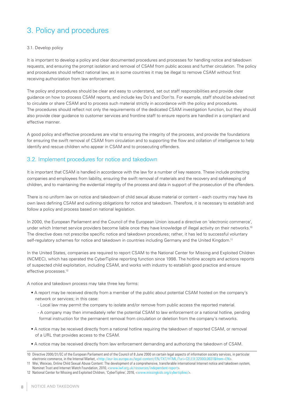### 3. Policy and procedures

#### 3.1. Develop policy

It is important to develop a policy and clear documented procedures and processes for handling notice and takedown requests, and ensuring the prompt isolation and removal of CSAM from public access and further circulation. The policy and procedures should reflect national law, as in some countries it may be illegal to remove CSAM without first receiving authorization from law enforcement.

The policy and procedures should be clear and easy to understand, set out staff responsibilities and provide clear guidance on how to process CSAM reports, and include key Do's and Don'ts. For example, staff should be advised not to circulate or share CSAM and to process such material strictly in accordance with the policy and procedures. The procedures should reflect not only the requirements of the dedicated CSAM investigation function, but they should also provide clear guidance to customer services and frontline staff to ensure reports are handled in a compliant and effective manner.

A good policy and effective procedures are vital to ensuring the integrity of the process, and provide the foundations for ensuring the swift removal of CSAM from circulation and to supporting the flow and collation of intelligence to help identify and rescue children who appear in CSAM and to prosecuting offenders.

#### 3.2. Implement procedures for notice and takedown

It is important that CSAM is handled in accordance with the law for a number of key reasons. These include protecting companies and employees from liability, ensuring the swift removal of materials and the recovery and safekeeping of children, and to maintaining the evidential integrity of the process and data in support of the prosecution of the offenders.

There is no uniform law on notice and takedown of child sexual abuse material or content – each country may have its own laws defining CSAM and outlining obligations for notice and takedown. Therefore, it is necessary to establish and follow a policy and process based on national legislation.

In 2000, the European Parliament and the Council of the European Union issued a directive on 'electronic commerce', under which Internet service providers become liable once they have knowledge of illegal activity on their networks.<sup>10</sup> The directive does not prescribe specific notice and takedown procedures; rather, it has led to successful voluntary self-regulatory schemes for notice and takedown in countries including Germany and the United Kingdom.<sup>11</sup>

In the United States, companies are required to report CSAM to the National Center for Missing and Exploited Children (NCMEC), which has operated the CyberTipline reporting function since 1998. The hotline accepts and actions reports of suspected child exploitation, including CSAM, and works with industry to establish good practice and ensure effective processes.<sup>12</sup>

A notice and takedown process may take three key forms:

- A report may be received directly from a member of the public about potential CSAM hosted on the company's network or services; in this case:
	- Local law may permit the company to isolate and/or remove from public access the reported material.
	- A company may then immediately refer the potential CSAM to law enforcement or a national hotline, pending formal instruction for the permanent removal from circulation or deletion from the company's networks.
- A notice may be received directly from a national hotline requiring the takedown of reported CSAM, or removal of a URL that provides access to the CSAM.
- A notice may be received directly from law enforcement demanding and authorizing the takedown of CSAM.

<sup>10</sup> Directive 2000/31/EC of the European Parliament and of the Council of 8 June 2000 on certain legal aspects of information society services, in particular electronic commerce, in the Internal Market, <http://eur-lex.europa.eu/legal-content/EN/TXT/HTML/?uri=CELEX:32000L0031&from=EN>.

<sup>11</sup> Wei, Weixiao, Online Child Sexual Abuse Content: The development of a comprehensive, transferable international Internet notice and takedown system, Nominet Trust and Internet Watch Foundation, 2010, <www.iwf.org.uk/resources/independent-report>.

<sup>12</sup> National Center for Missing and Exploited Children, 'CyberTipline', 2016, <www.missingkids.org/cybertipline/>.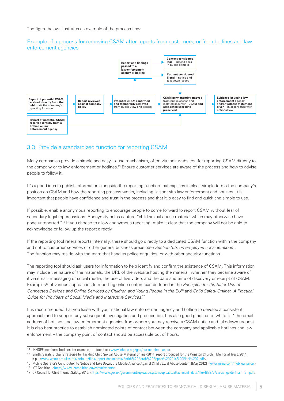The figure below illustrates an example of the process flow.

#### Example of a process for removing CSAM after reports from customers, or from hotlines and law enforcement agencies



#### 3.3. Provide a standardized function for reporting CSAM

Many companies provide a simple and easy-to-use mechanism, often via their websites, for reporting CSAM directly to the company or to law enforcement or hotlines.13 Ensure customer services are aware of the process and how to advise people to follow it.

It's a good idea to publish information alongside the reporting function that explains in clear, simple terms the company's position on CSAM and how the reporting process works, including liaison with law enforcement and hotlines. It is important that people have confidence and trust in the process and that it is easy to find and quick and simple to use.

If possible, enable anonymous reporting to encourage people to come forward to report CSAM without fear of secondary legal repercussions. Anonymity helps capture "child sexual abuse material which may otherwise have gone unreported."14 If you choose to allow anonymous reporting, make it clear that the company will not be able to acknowledge or follow up the report directly

If the reporting tool refers reports internally, these should go directly to a dedicated CSAM function within the company and not to customer services or other general business areas (*see Section 3.5, on employee considerations*). The function may reside with the team that handles police enquiries, or with other security functions.

The reporting tool should ask users for information to help identify and confirm the existence of CSAM. This information may include the nature of the materials, the URL of the website hosting the material, whether they became aware of it via email, messaging or social media, the use of live video, and the date and time of discovery or receipt of CSAM. Examples15 of various approaches to reporting online content can be found in the *Principles for the Safer Use of Connected Devices and Online Services by Children and Young People in the EU*16 and *Child Safety Online: A Practical Guide for Providers of Social Media and Interactive Services.*<sup>17</sup>

It is recommended that you liaise with your national law enforcement agency and hotline to develop a consistent approach and to support any subsequent investigation and prosecution. It is also good practice to 'white list' the email address of hotlines and law enforcement agencies from whom you may receive a CSAM notice and takedown request. It is also best practice to establish nominated points of contact between the company and applicable hotlines and law enforcement – the company point of contact should be accessible out of hours.

<sup>13</sup> INHOPE members' hotlines, for example, are found at <www.inhope.org/gns/our-members.aspx>

<sup>14</sup> Smith, Sarah, Global Strategies for Tackling Child Sexual Abuse Material Online (2014) report produced for the Winston Churchill Memorial Trust, 2014, n.p., <www.wcmt.org.uk/sites/default/files/report-documents/Smith%20Sarah%20Report%202014%20Final%202.pdf>.

<sup>15</sup> Mobile Operator's Contribution to Notice and Take Down, the Mobile Alliance Against Child Sexual Abuse Content (May 2012) <www.gsma.com/mobilealliance>. 16 ICT Coalition. <http://www.ictcoalition.eu/commitments>.

<sup>17</sup> UK Council for Child Internet Safety, 2016, <https://www.gov.uk/government/uploads/system/uploads/attachment\_data/file/487973/ukccis\_guide-final\_\_3\_.pdf>.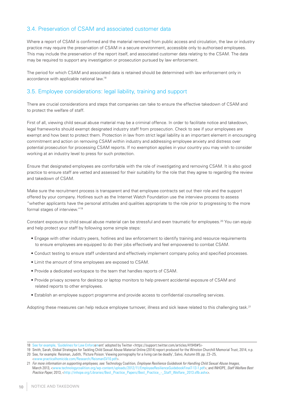#### 3.4. Preservation of CSAM and associated customer data

Where a report of CSAM is confirmed and the material removed from public access and circulation, the law or industry practice may require the preservation of CSAM in a secure environment, accessible only to authorised employees. This may include the preservation of the report itself, and associated customer data relating to the CSAM. The data may be required to support any investigation or prosecution pursued by law enforcement.

The period for which CSAM and associated data is retained should be determined with law enforcement only in accordance with applicable national law.18

#### 3.5. Employee considerations: legal liability, training and support

There are crucial considerations and steps that companies can take to ensure the effective takedown of CSAM and to protect the welfare of staff.

First of all, viewing child sexual abuse material may be a criminal offence. In order to facilitate notice and takedown, legal frameworks should exempt designated industry staff from prosecution. Check to see if your employees are exempt and how best to protect them. Protection in law from strict legal liability is an important element in encouraging commitment and action on removing CSAM within industry and addressing employee anxiety and distress over potential prosecution for processing CSAM reports. If no exemption applies in your country you may wish to consider working at an industry level to press for such protection.

Ensure that designated employees are comfortable with the role of investigating and removing CSAM. It is also good practice to ensure staff are vetted and assessed for their suitability for the role that they agree to regarding the review and takedown of CSAM.

Make sure the recruitment process is transparent and that employee contracts set out their role and the support offered by your company. Hotlines such as the Internet Watch Foundation use the interview process to assess "whether applicants have the personal attitudes and qualities appropriate to the role prior to progressing to the more formal stages of interview."19

Constant exposure to child sexual abuse material can be stressful and even traumatic for employees.<sup>20</sup> You can equip and help protect your staff by following some simple steps:

- Engage with other industry peers, hotlines and law enforcement to identify training and resource requirements to ensure employees are equipped to do their jobs effectively and feel empowered to combat CSAM.
- Conduct testing to ensure staff understand and effectively implement company policy and specified processes.
- Limit the amount of time employees are exposed to CSAM.
- Provide a dedicated workspace to the team that handles reports of CSAM.
- Provide privacy screens for desktop or laptop monitors to help prevent accidental exposure of CSAM and related reports to other employees.
- Establish an employee support programme and provide access to confidential counselling services.

Adopting these measures can help reduce employee turnover, illness and sick leave related to this challenging task.<sup>21</sup>

<sup>18</sup> See for example, 'Guidelines for Law Enforcement' adopted by Twitter <https://support.twitter.com/articles/41949#5>

<sup>19</sup> Smith, Sarah, Global Strategies for Tackling Child Sexual Abuse Material Online (2014) report produced for the Winston Churchill Memorial Trust, 2014, n.p. 20 See, for example: Reisman, Judith, 'Picture Poison: Viewing pornography for a living can be deadly', Salvo, Autumn 09, pp. 23–25, <www.practicalhomicide.com/Research/ReismanSV10.pdf>.

<sup>21</sup> *For more information on supporting employees, see:* Technology Coalition, *Employee Resilience Guidebook for Handling Child Sexual Abuse Images*, March 2013, <www.technologycoalition.org/wp-content/uploads/2012/11/EmployeeResilienceGuidebookFinal7-13-1.pdf>; and INHOPE, *Staff Welfare Best Practice Paper*, 2013, <http://inhope.org/Libraries/Best\_Practice\_Papers/Best\_Practice\_-\_Staff\_Welfare\_2013.sflb.ashx>.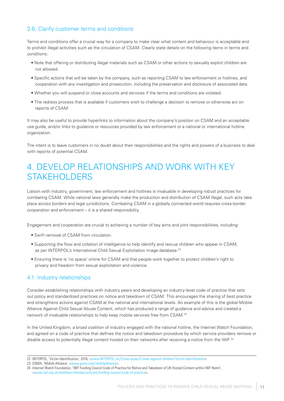#### 3.6. Clarify customer terms and conditions

Terms and conditions offer a crucial way for a company to make clear what content and behaviour is acceptable and to prohibit illegal activities such as the circulation of CSAM. Clearly state details on the following items in terms and conditions:

- Note that offering or distributing illegal materials such as CSAM or other actions to sexually exploit children are not allowed.
- Specific actions that will be taken by the company, such as reporting CSAM to law enforcement or hotlines, and cooperation with any investigation and prosecution, including the preservation and disclosure of associated data.
- Whether you will suspend or close accounts and services if the terms and conditions are violated.
- The redress process that is available if customers wish to challenge a decision to remove or otherwise act on reports of CSAM.

It may also be useful to provide hyperlinks to information about the company's position on CSAM and an acceptable use guide, and/or links to guidance or resources provided by law enforcement or a national or international hotline organization.

The intent is to leave customers in no doubt about their responsibilities and the rights and powers of a business to deal with reports of potential CSAM.

### 4. DEVELOP RELATIONSHIPS AND WORK WITH KEY STAKEHOLDERS

Liaison with industry, government, law enforcement and hotlines is invaluable in developing robust practices for combating CSAM. While national laws generally make the production and distribution of CSAM illegal, such acts take place across borders and legal jurisdictions. Combating CSAM in a globally connected world requires cross-border cooperation and enforcement – it is a shared responsibility.

Engagement and cooperation are crucial to achieving a number of key aims and joint responsibilities, including:

- Swift removal of CSAM from circulation.
- Supporting the flow and collation of intelligence to help identify and rescue children who appear in CSAM, as per INTERPOL's International Child Sexual Exploitation image database.<sup>22</sup>
- Ensuring there is 'no space' online for CSAM and that people work together to protect children's right to privacy and freedom from sexual exploitation and violence.

#### 4.1. Industry relationships

Consider establishing relationships with industry peers and developing an industry-level code of practice that sets out policy and standardized practices on notice and takedown of CSAM. This encourages the sharing of best practice and strengthens actions against CSAM at the national and international levels. An example of this is the global Mobile Alliance Against Child Sexual Abuse Content, which has produced a range of guidance and advice and created a network of invaluable relationships to help keep mobile services free from CSAM.23

In the United Kingdom, a broad coalition of industry engaged with the national hotline, the Internet Watch Foundation, and agreed on a code of practice that defines the notice and takedown procedure by which service providers remove or disable access to potentially illegal content hosted on their networks after receiving a notice from the IWF.<sup>24</sup>

<sup>22</sup> INTERPOL, 'Victim Identification', 2016, <www.INTERPOL.int/Crime-areas/Crimes-against-children/Victim-identification>.

<sup>23</sup> GSMA, 'Mobile Alliance', <www.gsma.com/mobilealliance>.

<sup>24</sup> Internet Watch Foundation, 'IWF Funding Council Code of Practice for Notice and Takedown of UK Hosted Content within IWF Remit', <www.iwf.org.uk/members/member-policies/funding-council/code-of-practice>.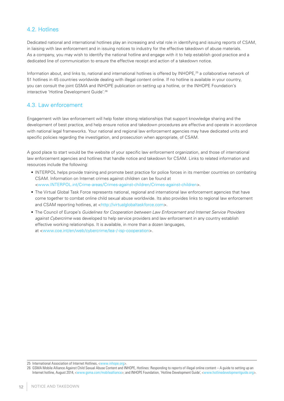#### 4.2. Hotlines

Dedicated national and international hotlines play an increasing and vital role in identifying and issuing reports of CSAM, in liaising with law enforcement and in issuing notices to industry for the effective takedown of abuse materials. As a company, you may wish to identify the national hotline and engage with it to help establish good practice and a dedicated line of communication to ensure the effective receipt and action of a takedown notice.

Information about, and links to, national and international hotlines is offered by INHOPE,25 a collaborative network of 51 hotlines in 45 countries worldwide dealing with illegal content online. If no hotline is available in your country, you can consult the joint GSMA and INHOPE publication on setting up a hotline, or the INHOPE Foundation's interactive 'Hotline Development Guide'.26

#### 4.3. Law enforcement

Engagement with law enforcement will help foster strong relationships that support knowledge sharing and the development of best practice, and help ensure notice and takedown procedures are effective and operate in accordance with national legal frameworks. Your national and regional law enforcement agencies may have dedicated units and specific policies regarding the investigation, and prosecution when appropriate, of CSAM.

A good place to start would be the website of your specific law enforcement organization, and those of international law enforcement agencies and hotlines that handle notice and takedown for CSAM. Links to related information and resources include the following:

- INTERPOL helps provide training and promote best practice for police forces in its member countries on combating CSAM. Information on Internet crimes against children can be found at <www.INTERPOL.int/Crime-areas/Crimes-against-children/Crimes-against-children>.
- The Virtual Global Task Force represents national, regional and international law enforcement agencies that have come together to combat online child sexual abuse worldwide. Its also provides links to regional law enforcement and CSAM reporting hotlines, at <http://virtualglobaltaskforce.com>.
- The Council of Europe's *Guidelines for Cooperation between Law Enforcement and Internet Service Providers against Cybercrime* was developed to help service providers and law enforcement in any country establish effective working relationships. It is available, in more than a dozen languages, at <www.coe.int/en/web/cybercrime/lea-/-isp-cooperation>.

25 International Association of Internet Hotlines, <www.inhope.org>.

<sup>26</sup> GSMA Mobile Alliance Against Child Sexual Abuse Content and INHOPE, Hotlines: Responding to reports of illegal online content – A guide to setting up an Internet hotline, August 2014, <www.gsma.com/mobilealliance>; and INHOPE Foundation, 'Hotline Development Guide', <www.hotlinedevelopmentguide.org>.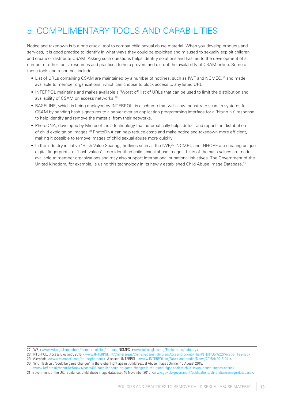# 5. COMPLIMENTARY TOOLS AND CAPABILITIES

Notice and takedown is but one crucial tool to combat child sexual abuse material. When you develop products and services, it is good practice to identify in what ways they could be exploited and misused to sexually exploit children and create or distribute CSAM. Asking such questions helps identify solutions and has led to the development of a number of other tools, resources and practices to help prevent and disrupt the availability of CSAM online. Some of these tools and resources include:

- List of URLs containing CSAM are maintained by a number of hotlines, such as IWF and NCMEC,<sup>27</sup> and made available to member organizations, which can choose to block access to any listed URL.
- INTERPOL maintains and makes available a 'Worst of' list of URLs that can be used to limit the distribution and availability of CSAM on access networks.<sup>28</sup>
- BASELINE, which is being deployed by INTERPOL, is a scheme that will allow industry to scan its systems for CSAM by sending hash signatures to a server over an application programming interface for a 'hit/no hit' response to help identify and remove the material from their networks.
- PhotoDNA, developed by Microsoft, is a technology that automatically helps detect and report the distribution of child exploitation images.29 PhotoDNA can help reduce costs and make notice and takedown more efficient, making it possible to remove images of child sexual abuse more quickly.
- In the industry initiative 'Hash Value Sharing', hotlines such as the IWF,30 NCMEC and INHOPE are creating unique digital fingerprints, or 'hash values', from identified child sexual abuse images. Lists of the hash values are made available to member organizations and may also support international or national initiatives. The Government of the United Kingdom, for example, is using this technology in its newly established Child Abuse Image Database.<sup>31</sup>

<sup>27</sup> IWF, <www.iwf.org.uk/members/member-policies/url-list>; NCMEC, <www.missingkids.org/Exploitation/Industry>

<sup>28</sup> INTERPOL, 'Access Blocking', 2016, <www.INTERPOL.int/Crime-areas/Crimes-against-children/Access-blocking/The-INTERPOL-%22Worst-of%22-list>.

<sup>29</sup> Microsoft, <www.microsoft.com/en-us/photodna>. Also see: INTERPOL, '<www.INTERPOL.int/News-and-media/News/2015/N2015-041>. 30 IWF, 'Hash List "could be game-changer" in the Global Fight against Child Sexual Abuse Images Online', 10 August 2015,

<sup>&</sup>lt;www.iwf.org.uk/about-iwf/news/post/416-hash-list-could-be-game-changer-in-the-global-fight-against-child-sexual-abuse-images-online>.

<sup>31</sup> Government of the UK, 'Guidance: Child abuse image database', 16 November 2015, <www.gov.uk/government/publications/child-abuse-image-database>.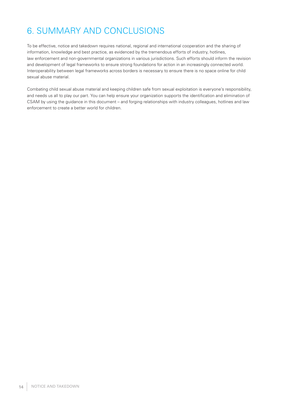# 6. SUMMARY AND CONCLUSIONS

To be effective, notice and takedown requires national, regional and international cooperation and the sharing of information, knowledge and best practice, as evidenced by the tremendous efforts of industry, hotlines, law enforcement and non-governmental organizations in various jurisdictions. Such efforts should inform the revision and development of legal frameworks to ensure strong foundations for action in an increasingly connected world. Interoperability between legal frameworks across borders is necessary to ensure there is no space online for child sexual abuse material.

Combating child sexual abuse material and keeping children safe from sexual exploitation is everyone's responsibility, and needs us all to play our part. You can help ensure your organization supports the identification and elimination of CSAM by using the guidance in this document – and forging relationships with industry colleagues, hotlines and law enforcement to create a better world for children.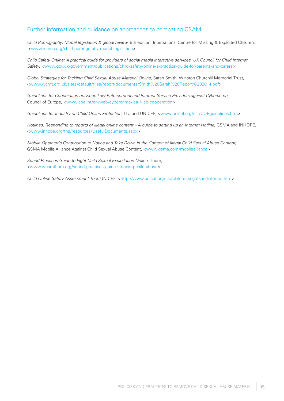#### Further information and guidance on approaches to combating CSAM

*Child Pornography: Model legislation & global review,* 8th edition, International Centre for Missing & Exploited Children, <www.icmec.org/child-pornography-model-legislation>

*Child Safety Online: A practical guide for providers of social media interactive services, UK Council for Child Internet Safety*, <www.gov.uk/government/publications/child-safety-online-a-practical-guide-for-parents-and-carers>

*Global Strategies for Tackling Child Sexual Abuse Material Online,* Sarah Smith, Winston Churchill Memorial Trust, <www.wcmt.org.uk/sites/default/files/report-documents/Smith%20Sarah%20Report%202014.pdf>

*Guidelines for Cooperation between Law Enforcement and Internet Service Providers against Cybercrime,*  Council of Europe, <www.coe.int/en/web/cybercrime/lea-/-isp-cooperation>

*Guidelines for Industry on Child Online Protection,* ITU and UNICEF, <www.unicef.org/csr/COPguidelines.htm>

Hotlines: Responding to reports of illegal online content – A guide to setting up an Internet Hotline, GSMA and INHOPE, <www.inhope.org/tns/resources/UsefulDocuments.aspx>

*Mobile Operator's Contribution to Notice and Take Down in the Context of Illegal Child Sexual Abuse Content,*  GSMA Mobile Alliance Against Child Sexual Abuse Content, <www.gsma.com/mobilealliance>

*Sound Practices Guide to Fight Child Sexual Exploitation Online,* Thorn, <www.wearethorn.org/sound-practices-guide-stopping-child-abuse>

*Child Online Safety Assessment Tool,* UNICEF, <http://www.unicef.org/csr/childrensrightsandinternet.htm>